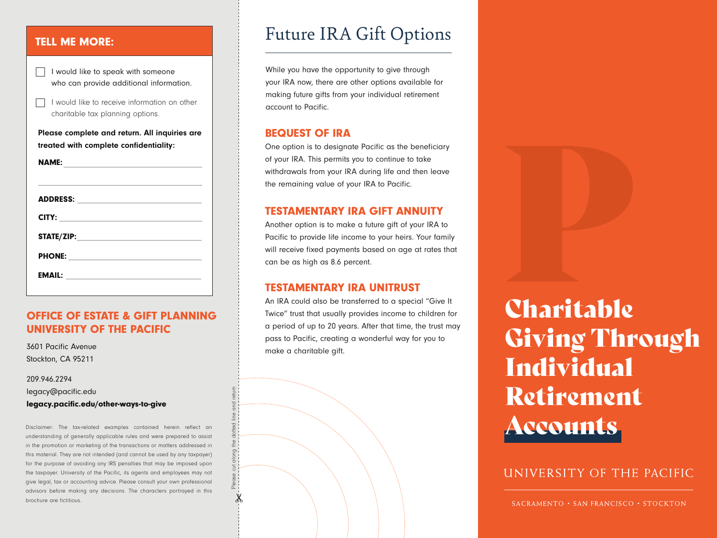#### TELL ME MORE:

|                                                                                         | I would like to speak with someone<br>who can provide additional information.    |
|-----------------------------------------------------------------------------------------|----------------------------------------------------------------------------------|
|                                                                                         | I would like to receive information on other<br>charitable tax planning options. |
| Please complete and return. All inquiries are<br>treated with complete confidentiality: |                                                                                  |
|                                                                                         |                                                                                  |
|                                                                                         |                                                                                  |
|                                                                                         |                                                                                  |
|                                                                                         |                                                                                  |
|                                                                                         |                                                                                  |

#### OFFICE OF ESTATE & GIFT PLANNING UNIVERSITY OF THE PACIFIC

3601 Pacific Avenue Stockton, CA 95211

209.946.2294

legacy@pacific.edu

legacy.pacific.edu/other-ways-to-give

Disclaimer: The tax-related examples contained herein reflect an understanding of generally applicable rules and were prepared to assist in the promotion or marketing of the transactions or matters addressed in this material. They are not intended (and cannot be used by any taxpayer) for the purpose of avoiding any IRS penalties that may be imposed upon the taxpayer. University of the Pacific, its agents and employees may not give legal, tax or accounting advice. Please consult your own professional advisors before making any decisions. The characters portrayed in this brochure are fictitious.

Please cut along the dotted line and return

 $\chi$ 

# Future IRA Gift Options

While you have the opportunity to give through your IRA now, there are other options available for making future gifts from your individual retirement account to Pacific.

#### BEQUEST OF IRA

One option is to designate Pacific as the beneficiary of your IRA. This permits you to continue to take withdrawals from your IRA during life and then leave the remaining value of your IRA to Pacific.

## TESTAMENTARY IRA GIFT ANNUITY

Another option is to make a future gift of your IRA to Pacific to provide life income to your heirs. Your family will receive fixed payments based on age at rates that can be as high as 8.6 percent.

## TESTAMENTARY IRA UNITRUST

An IRA could also be transferred to a special "Give It Twice" trust that usually provides income to children for a period of up to 20 years. After that time, the trust may pass to Pacific, creating a wonderful way for you to make a charitable gift.

Charitable Giving Through Individual Retirement Accounts

UNIVERSITY OF THE PACIFIC

SACRAMENTO • SAN FRANCISCO • STOCKTON